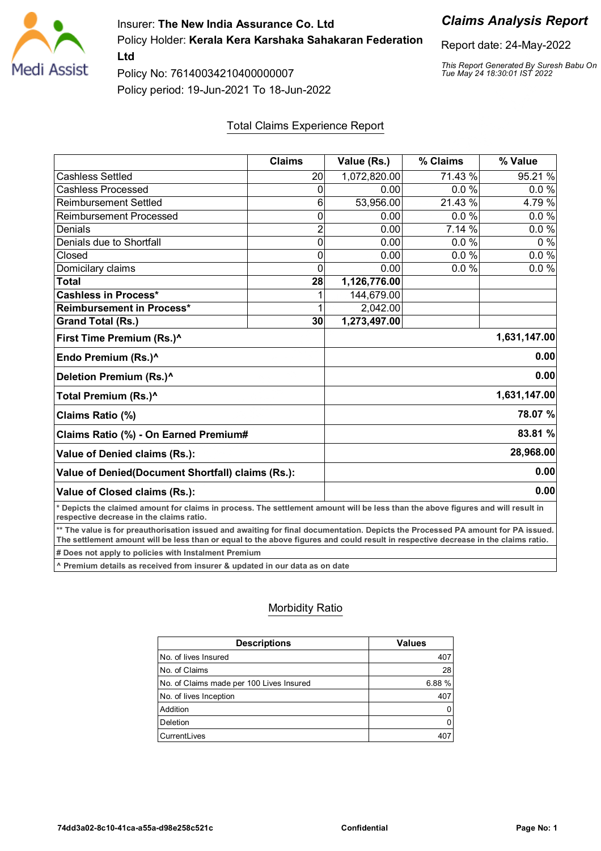

Insurer: **The New India Assurance Co. Ltd** Policy Holder: **Kerala Kera Karshaka Sahakaran Federation**

**Ltd** Policy No: 76140034210400000007

Policy period: 19-Jun-2021 To 18-Jun-2022

#### Total Claims Experience Report

|                                                                                                                                                                                                                                                                        | <b>Claims</b>  | Value (Rs.)  | % Claims | % Value      |  |
|------------------------------------------------------------------------------------------------------------------------------------------------------------------------------------------------------------------------------------------------------------------------|----------------|--------------|----------|--------------|--|
| <b>Cashless Settled</b>                                                                                                                                                                                                                                                | 20             | 1,072,820.00 | 71.43 %  | 95.21 %      |  |
| <b>Cashless Processed</b>                                                                                                                                                                                                                                              | 0              | 0.00         | 0.0%     | 0.0%         |  |
| <b>Reimbursement Settled</b>                                                                                                                                                                                                                                           | 6              | 53,956.00    | 21.43 %  | 4.79 %       |  |
| <b>Reimbursement Processed</b>                                                                                                                                                                                                                                         | 0              | 0.00         | 0.0%     | 0.0%         |  |
| Denials                                                                                                                                                                                                                                                                | $\overline{2}$ | 0.00         | 7.14 %   | $0.0 \%$     |  |
| Denials due to Shortfall                                                                                                                                                                                                                                               | 0              | 0.00         | 0.0%     | $0\%$        |  |
| Closed                                                                                                                                                                                                                                                                 | 0              | 0.00         | 0.0%     | 0.0 %        |  |
| Domicilary claims                                                                                                                                                                                                                                                      | 0              | 0.00         | 0.0%     | 0.0%         |  |
| <b>Total</b>                                                                                                                                                                                                                                                           | 28             | 1,126,776.00 |          |              |  |
| <b>Cashless in Process*</b>                                                                                                                                                                                                                                            |                | 144,679.00   |          |              |  |
| Reimbursement in Process*                                                                                                                                                                                                                                              |                | 2,042.00     |          |              |  |
| <b>Grand Total (Rs.)</b>                                                                                                                                                                                                                                               | 30             | 1,273,497.00 |          |              |  |
| First Time Premium (Rs.)^                                                                                                                                                                                                                                              | 1,631,147.00   |              |          |              |  |
| Endo Premium (Rs.)^                                                                                                                                                                                                                                                    |                |              |          | 0.00         |  |
| Deletion Premium (Rs.)^                                                                                                                                                                                                                                                |                |              |          | 0.00         |  |
| Total Premium (Rs.)^                                                                                                                                                                                                                                                   |                |              |          | 1,631,147.00 |  |
| Claims Ratio (%)                                                                                                                                                                                                                                                       |                |              |          | 78.07 %      |  |
| Claims Ratio (%) - On Earned Premium#                                                                                                                                                                                                                                  |                | 83.81 %      |          |              |  |
| Value of Denied claims (Rs.):                                                                                                                                                                                                                                          |                | 28,968.00    |          |              |  |
| Value of Denied(Document Shortfall) claims (Rs.):                                                                                                                                                                                                                      |                |              |          | 0.00         |  |
| Value of Closed claims (Rs.):                                                                                                                                                                                                                                          |                |              |          | 0.00         |  |
| * Depicts the claimed amount for claims in process. The settlement amount will be less than the above figures and will result in<br>respective decrease in the claims ratio.                                                                                           |                |              |          |              |  |
| ** The value is for preauthorisation issued and awaiting for final documentation. Depicts the Processed PA amount for PA issued.<br>The settlement amount will be less than or equal to the above figures and could result in respective decrease in the claims ratio. |                |              |          |              |  |

**# Does not apply to policies with Instalment Premium**

**^ Premium details as received from insurer & updated in our data as on date**

#### Morbidity Ratio

| <b>Descriptions</b>                      | <b>Values</b> |
|------------------------------------------|---------------|
| No. of lives Insured                     | 407           |
| No. of Claims                            | 28            |
| No. of Claims made per 100 Lives Insured | 6.88%         |
| No. of lives Inception                   | 407           |
| Addition                                 | 0             |
| Deletion                                 | 0             |
| CurrentLives                             |               |

### *Claims Analysis Report*

Report date: 24-May-2022

*This Report Generated By Suresh Babu On Tue May 24 18:30:01 IST 2022*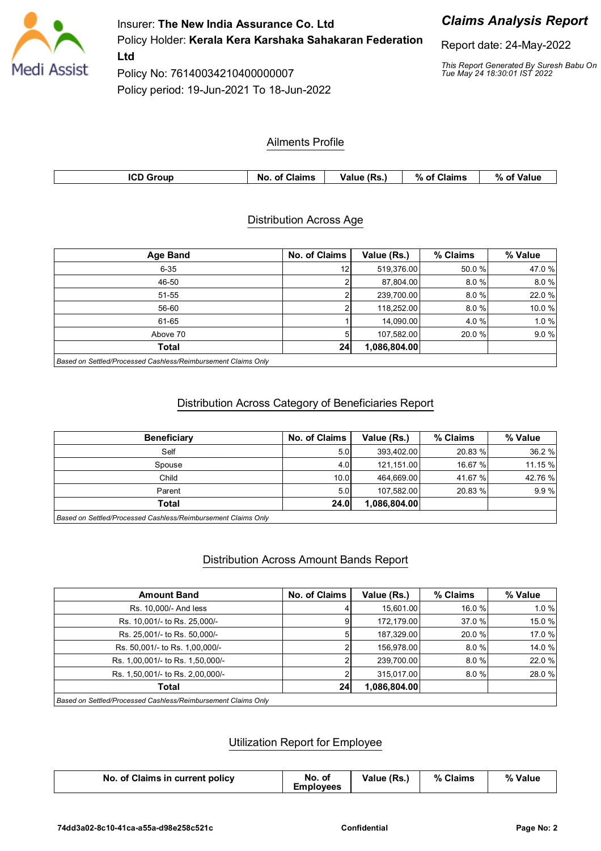

Insurer: **The New India Assurance Co. Ltd** Policy Holder: **Kerala Kera Karshaka Sahakaran Federation Ltd**

Policy No: 76140034210400000007 Policy period: 19-Jun-2021 To 18-Jun-2022

## *Claims Analysis Report*

Report date: 24-May-2022

*This Report Generated By Suresh Babu On Tue May 24 18:30:01 IST 2022*

#### Ailments Profile

| <b>ICD Group</b> | <b>No. of Claims</b> | Value (Rs.) | % of Claims | %、<br><b>S</b> Value<br>ി |
|------------------|----------------------|-------------|-------------|---------------------------|
|                  |                      |             |             |                           |

#### Distribution Across Age

| <b>Age Band</b> | No. of Claims | Value (Rs.)  | % Claims | % Value |
|-----------------|---------------|--------------|----------|---------|
| $6 - 35$        | 12            | 519,376.00   | 50.0 %   | 47.0%   |
| 46-50           |               | 87,804.00    | 8.0%     | 8.0%    |
| $51 - 55$       |               | 239,700.00   | 8.0%     | 22.0%   |
| 56-60           |               | 118.252.00   | 8.0%     | 10.0%   |
| 61-65           |               | 14,090.00    | 4.0 %    | 1.0%    |
| Above 70        |               | 107,582.00   | 20.0%    | 9.0%    |
| <b>Total</b>    | 24            | 1,086,804.00 |          |         |
|                 |               |              |          |         |

*Based on Settled/Processed Cashless/Reimbursement Claims Only*

#### Distribution Across Category of Beneficiaries Report

|                  |              | % Claims | % Value |
|------------------|--------------|----------|---------|
| 5.0              | 393,402.00   | 20.83 %  | 36.2 %  |
| 4.0 <sub>1</sub> | 121,151.00   | 16.67 %  | 11.15 % |
| 10.0             | 464.669.00   | 41.67 %  | 42.76 % |
| 5.0              | 107.582.00   | 20.83 %  | 9.9%    |
| 24.0             | 1,086,804.00 |          |         |
|                  |              |          |         |

*Based on Settled/Processed Cashless/Reimbursement Claims Only*

#### Distribution Across Amount Bands Report

| <b>Amount Band</b>                                             | No. of Claims | Value (Rs.)  | % Claims | % Value |
|----------------------------------------------------------------|---------------|--------------|----------|---------|
| Rs. 10.000/- And less                                          |               | 15,601.00    | 16.0%    | 1.0%    |
| Rs. 10,001/- to Rs. 25,000/-                                   | 9             | 172,179.00   | 37.0 %   | 15.0%   |
| Rs. 25,001/- to Rs. 50,000/-                                   | 51            | 187,329.00   | 20.0 %   | 17.0 %  |
| Rs. 50,001/- to Rs. 1,00,000/-                                 |               | 156.978.00   | 8.0%     | 14.0 %  |
| Rs. 1,00,001/- to Rs. 1,50,000/-                               |               | 239.700.00   | 8.0%     | 22.0 %  |
| Rs. 1,50,001/- to Rs. 2,00,000/-                               |               | 315.017.00   | 8.0%     | 28.0%   |
| Total                                                          | 24            | 1,086,804.00 |          |         |
| Based on Settled/Pressessed Caphlose/Beimburgement Claims Only |               |              |          |         |

*Based on Settled/Processed Cashless/Reimbursement Claims Only*

#### Utilization Report for Employee

| No. of Claims in current policy | No. of<br>Emplovees | Value (Rs.) | % Claims | % Value |
|---------------------------------|---------------------|-------------|----------|---------|
|---------------------------------|---------------------|-------------|----------|---------|